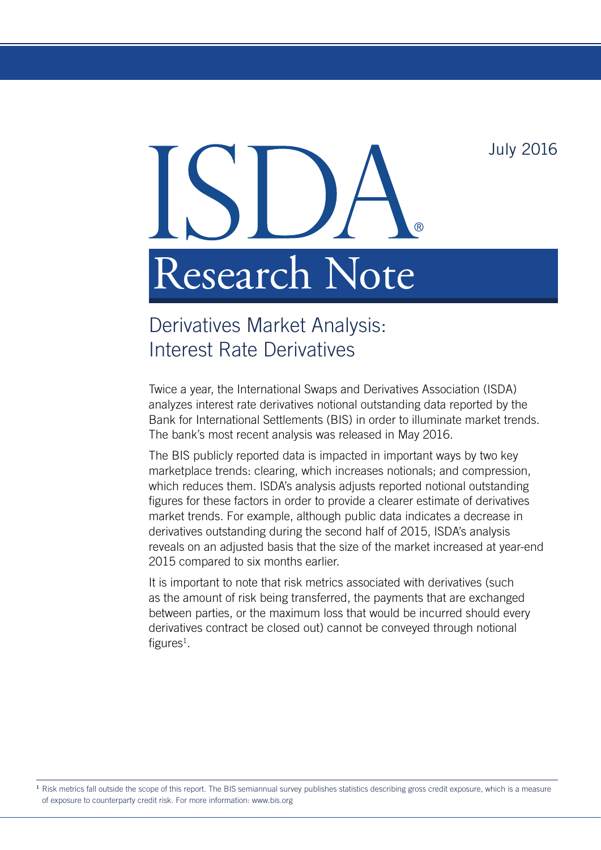July 2016

# Research Note

# Derivatives Market Analysis: Interest Rate Derivatives

Twice a year, the International Swaps and Derivatives Association (ISDA) analyzes interest rate derivatives notional outstanding data reported by the Bank for International Settlements (BIS) in order to illuminate market trends. The bank's most recent analysis was released in May 2016.

The BIS publicly reported data is impacted in important ways by two key marketplace trends: clearing, which increases notionals; and compression, which reduces them. ISDA's analysis adjusts reported notional outstanding figures for these factors in order to provide a clearer estimate of derivatives market trends. For example, although public data indicates a decrease in derivatives outstanding during the second half of 2015, ISDA's analysis reveals on an adjusted basis that the size of the market increased at year-end 2015 compared to six months earlier.

It is important to note that risk metrics associated with derivatives (such as the amount of risk being transferred, the payments that are exchanged between parties, or the maximum loss that would be incurred should every derivatives contract be closed out) cannot be conveyed through notional figures<sup>1</sup>.

<sup>1</sup> Risk metrics fall outside the scope of this report. The BIS semiannual survey publishes statistics describing gross credit exposure, which is a measure of exposure to counterparty credit risk. For more information: [www.bis.org](http://www.bis.org)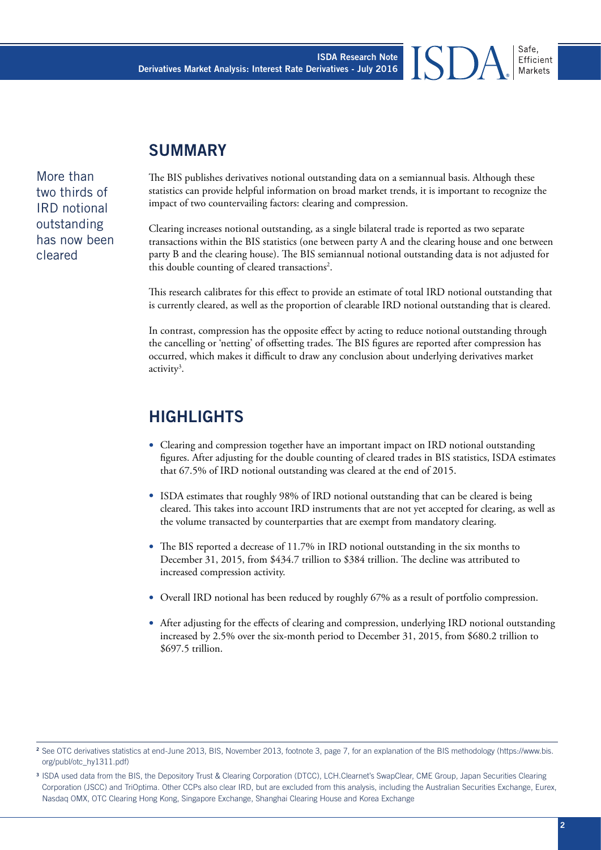# **SUMMARY**

More than two thirds of IRD notional outstanding has now been cleared

The BIS publishes derivatives notional outstanding data on a semiannual basis. Although these statistics can provide helpful information on broad market trends, it is important to recognize the impact of two countervailing factors: clearing and compression.

Clearing increases notional outstanding, as a single bilateral trade is reported as two separate transactions within the BIS statistics (one between party A and the clearing house and one between party B and the clearing house). The BIS semiannual notional outstanding data is not adjusted for this double counting of cleared transactions<sup>2</sup>.

This research calibrates for this effect to provide an estimate of total IRD notional outstanding that is currently cleared, as well as the proportion of clearable IRD notional outstanding that is cleared.

In contrast, compression has the opposite effect by acting to reduce notional outstanding through the cancelling or 'netting' of offsetting trades. The BIS figures are reported after compression has occurred, which makes it difficult to draw any conclusion about underlying derivatives market activity<sup>3</sup>.

# **HIGHLIGHTS**

- Clearing and compression together have an important impact on IRD notional outstanding figures. After adjusting for the double counting of cleared trades in BIS statistics, ISDA estimates that 67.5% of IRD notional outstanding was cleared at the end of 2015.
- ISDA estimates that roughly 98% of IRD notional outstanding that can be cleared is being cleared. This takes into account IRD instruments that are not yet accepted for clearing, as well as the volume transacted by counterparties that are exempt from mandatory clearing.
- The BIS reported a decrease of 11.7% in IRD notional outstanding in the six months to December 31, 2015, from \$434.7 trillion to \$384 trillion. The decline was attributed to increased compression activity.
- Overall IRD notional has been reduced by roughly 67% as a result of portfolio compression.
- After adjusting for the effects of clearing and compression, underlying IRD notional outstanding increased by 2.5% over the six-month period to December 31, 2015, from \$680.2 trillion to \$697.5 trillion.

Efficient Markets

<sup>&</sup>lt;sup>2</sup> See OTC derivatives statistics at end-June 2013, BIS, November 2013, footnote 3, page 7, for an explanation of the BIS methodology [\(https://www.bis.](https://www.bis.org/publ/otc_hy1311.pdf) [org/publ/otc\\_hy1311.pdf](https://www.bis.org/publ/otc_hy1311.pdf))

<sup>&</sup>lt;sup>3</sup> ISDA used data from the BIS, the Depository Trust & Clearing Corporation (DTCC), LCH.Clearnet's SwapClear, CME Group, Japan Securities Clearing Corporation (JSCC) and TriOptima. Other CCPs also clear IRD, but are excluded from this analysis, including the Australian Securities Exchange, Eurex, Nasdaq OMX, OTC Clearing Hong Kong, Singapore Exchange, Shanghai Clearing House and Korea Exchange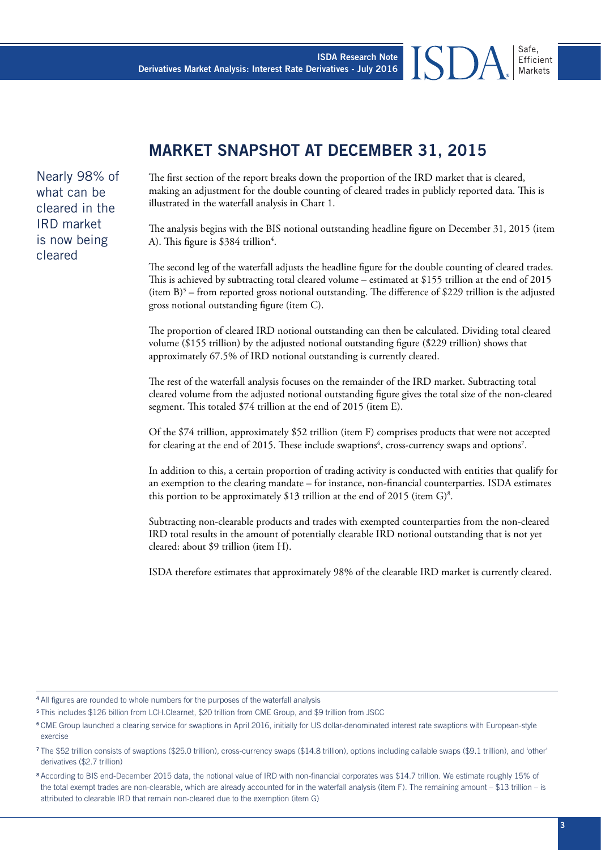# **MARKET SNAPSHOT AT DECEMBER 31, 2015**

Nearly 98% of what can be cleared in the IRD market is now being cleared

The first section of the report breaks down the proportion of the IRD market that is cleared, making an adjustment for the double counting of cleared trades in publicly reported data. This is illustrated in the waterfall analysis in Chart 1.

The analysis begins with the BIS notional outstanding headline figure on December 31, 2015 (item A). This figure is \$384 trillion $^4\!\!$ .

The second leg of the waterfall adjusts the headline figure for the double counting of cleared trades. This is achieved by subtracting total cleared volume – estimated at \$155 trillion at the end of 2015 (item B)<sup>5</sup> – from reported gross notional outstanding. The difference of \$229 trillion is the adjusted gross notional outstanding figure (item C).

The proportion of cleared IRD notional outstanding can then be calculated. Dividing total cleared volume (\$155 trillion) by the adjusted notional outstanding figure (\$229 trillion) shows that approximately 67.5% of IRD notional outstanding is currently cleared.

The rest of the waterfall analysis focuses on the remainder of the IRD market. Subtracting total cleared volume from the adjusted notional outstanding figure gives the total size of the non-cleared segment. This totaled \$74 trillion at the end of 2015 (item E).

Of the \$74 trillion, approximately \$52 trillion (item F) comprises products that were not accepted for clearing at the end of 2015. These include swaptions<sup>6</sup>, cross-currency swaps and options<sup>7</sup>.

In addition to this, a certain proportion of trading activity is conducted with entities that qualify for an exemption to the clearing mandate – for instance, non-financial counterparties. ISDA estimates this portion to be approximately \$13 trillion at the end of 2015 (item  $G$ )<sup>8</sup>.

Subtracting non-clearable products and trades with exempted counterparties from the non-cleared IRD total results in the amount of potentially clearable IRD notional outstanding that is not yet cleared: about \$9 trillion (item H).

ISDA therefore estimates that approximately 98% of the clearable IRD market is currently cleared.

<sup>4</sup>All figures are rounded to whole numbers for the purposes of the waterfall analysis

<sup>5</sup>This includes \$126 billion from LCH.Clearnet, \$20 trillion from CME Group, and \$9 trillion from JSCC

Efficient Markets

<sup>6</sup>CME Group launched a clearing service for swaptions in April 2016, initially for US dollar-denominated interest rate swaptions with European-style exercise

<sup>7</sup>The \$52 trillion consists of swaptions (\$25.0 trillion), cross-currency swaps (\$14.8 trillion), options including callable swaps (\$9.1 trillion), and 'other' derivatives (\$2.7 trillion)

<sup>8</sup>According to BIS end-December 2015 data, the notional value of IRD with non-financial corporates was \$14.7 trillion. We estimate roughly 15% of the total exempt trades are non-clearable, which are already accounted for in the waterfall analysis (item F). The remaining amount – \$13 trillion – is attributed to clearable IRD that remain non-cleared due to the exemption (item G)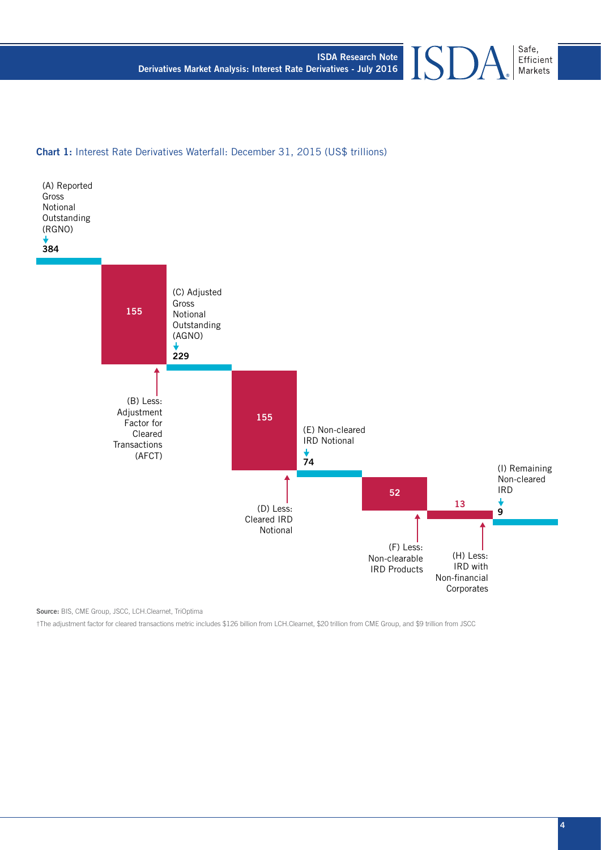#### Chart 1: Interest Rate Derivatives Waterfall: December 31, 2015 (US\$ trillions)



**Source:** BIS, CME Group, JSCC, LCH.Clearnet, TriOptima

†The adjustment factor for cleared transactions metric includes \$126 billion from LCH.Clearnet, \$20 trillion from CME Group, and \$9 trillion from JSCC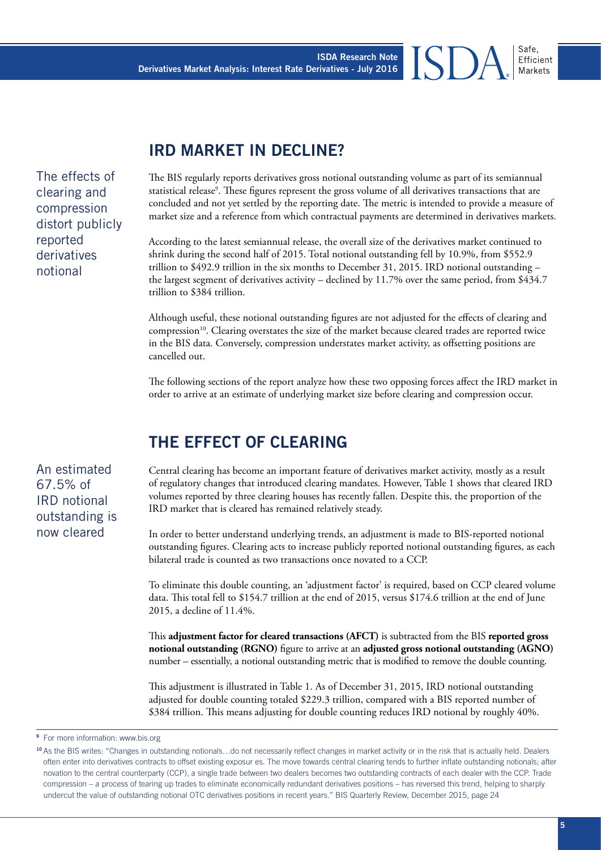**IRD MARKET IN DECLINE?** 

The effects of clearing and compression distort publicly reported derivatives notional

The BIS regularly reports derivatives gross notional outstanding volume as part of its semiannual statistical release<sup>9</sup>. These figures represent the gross volume of all derivatives transactions that are concluded and not yet settled by the reporting date. The metric is intended to provide a measure of market size and a reference from which contractual payments are determined in derivatives markets.

According to the latest semiannual release, the overall size of the derivatives market continued to shrink during the second half of 2015. Total notional outstanding fell by 10.9%, from \$552.9 trillion to \$492.9 trillion in the six months to December 31, 2015. IRD notional outstanding – the largest segment of derivatives activity – declined by 11.7% over the same period, from \$434.7 trillion to \$384 trillion.

Although useful, these notional outstanding figures are not adjusted for the effects of clearing and compression<sup>10</sup>. Clearing overstates the size of the market because cleared trades are reported twice in the BIS data. Conversely, compression understates market activity, as offsetting positions are cancelled out.

The following sections of the report analyze how these two opposing forces affect the IRD market in order to arrive at an estimate of underlying market size before clearing and compression occur.

# **THE EFFECT OF CLEARING**

Central clearing has become an important feature of derivatives market activity, mostly as a result of regulatory changes that introduced clearing mandates. However, Table 1 shows that cleared IRD volumes reported by three clearing houses has recently fallen. Despite this, the proportion of the IRD market that is cleared has remained relatively steady.

In order to better understand underlying trends, an adjustment is made to BIS-reported notional outstanding figures. Clearing acts to increase publicly reported notional outstanding figures, as each bilateral trade is counted as two transactions once novated to a CCP.

To eliminate this double counting, an 'adjustment factor' is required, based on CCP cleared volume data. This total fell to \$154.7 trillion at the end of 2015, versus \$174.6 trillion at the end of June 2015, a decline of 11.4%.

This **adjustment factor for cleared transactions (AFCT)** is subtracted from the BIS **reported gross notional outstanding (RGNO)** figure to arrive at an **adjusted gross notional outstanding (AGNO)**  number – essentially, a notional outstanding metric that is modified to remove the double counting.

This adjustment is illustrated in Table 1. As of December 31, 2015, IRD notional outstanding adjusted for double counting totaled \$229.3 trillion, compared with a BIS reported number of \$384 trillion. This means adjusting for double counting reduces IRD notional by roughly 40%.

An estimated 67.5% of IRD notional outstanding is now cleared

<sup>9</sup> For more information: [www.bis.org](http://www.bis.org)

<sup>10</sup>As the BIS writes: "Changes in outstanding notionals…do not necessarily reflect changes in market activity or in the risk that is actually held. Dealers often enter into derivatives contracts to offset existing exposur es. The move towards central clearing tends to further inflate outstanding notionals; after novation to the central counterparty (CCP), a single trade between two dealers becomes two outstanding contracts of each dealer with the CCP. Trade compression – a process of tearing up trades to eliminate economically redundant derivatives positions – has reversed this trend, helping to sharply undercut the value of outstanding notional OTC derivatives positions in recent years." BIS Quarterly Review, December 2015, page 24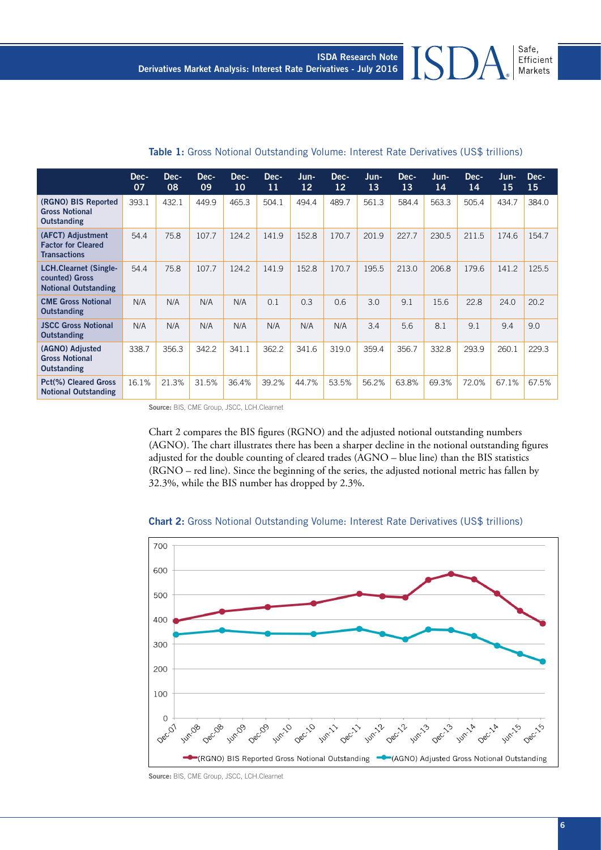|                                                                               | Dec-<br>07 | Dec-<br>08 | Dec-<br>09 | Dec-<br>10 | Dec-<br>11 | Jun-<br>12 | Dec-<br>12 | Jun-<br>13 | Dec-<br>13 | Jun-<br>14 | Dec-<br>14 | Jun-<br>15 | Dec-<br>15 |
|-------------------------------------------------------------------------------|------------|------------|------------|------------|------------|------------|------------|------------|------------|------------|------------|------------|------------|
| (RGNO) BIS Reported<br><b>Gross Notional</b><br><b>Outstanding</b>            | 393.1      | 432.1      | 449.9      | 465.3      | 504.1      | 494.4      | 489.7      | 561.3      | 584.4      | 563.3      | 505.4      | 434.7      | 384.0      |
| (AFCT) Adjustment<br><b>Factor for Cleared</b><br><b>Transactions</b>         | 54.4       | 75.8       | 107.7      | 124.2      | 141.9      | 152.8      | 170.7      | 201.9      | 227.7      | 230.5      | 211.5      | 174.6      | 154.7      |
| <b>LCH.Clearnet (Single-</b><br>counted) Gross<br><b>Notional Outstanding</b> | 54.4       | 75.8       | 107.7      | 124.2      | 141.9      | 152.8      | 170.7      | 195.5      | 213.0      | 206.8      | 179.6      | 141.2      | 125.5      |
| <b>CME Gross Notional</b><br><b>Outstanding</b>                               | N/A        | N/A        | N/A        | N/A        | 0.1        | 0.3        | 0.6        | 3.0        | 9.1        | 15.6       | 22.8       | 24.0       | 20.2       |
| <b>JSCC Gross Notional</b><br><b>Outstanding</b>                              | N/A        | N/A        | N/A        | N/A        | N/A        | N/A        | N/A        | 3.4        | 5.6        | 8.1        | 9.1        | 9.4        | 9.0        |
| (AGNO) Adjusted<br><b>Gross Notional</b><br><b>Outstanding</b>                | 338.7      | 356.3      | 342.2      | 341.1      | 362.2      | 341.6      | 319.0      | 359.4      | 356.7      | 332.8      | 293.9      | 260.1      | 229.3      |
| <b>Pct(%) Cleared Gross</b><br><b>Notional Outstanding</b>                    | 16.1%      | 21.3%      | 31.5%      | 36.4%      | 39.2%      | 44.7%      | 53.5%      | 56.2%      | 63.8%      | 69.3%      | 72.0%      | 67.1%      | 67.5%      |

Table 1: Gross Notional Outstanding Volume: Interest Rate Derivatives (US\$ trillions)

**Source:** BIS, CME Group, JSCC, LCH.Clearnet

Chart 2 compares the BIS figures (RGNO) and the adjusted notional outstanding numbers (AGNO). The chart illustrates there has been a sharper decline in the notional outstanding figures adjusted for the double counting of cleared trades (AGNO – blue line) than the BIS statistics (RGNO – red line). Since the beginning of the series, the adjusted notional metric has fallen by 32.3%, while the BIS number has dropped by 2.3%.



Chart 2: Gross Notional Outstanding Volume: Interest Rate Derivatives (US\$ trillions)

**Source:** BIS, CME Group, JSCC, LCH.Clearnet

Safe, Efficient Markets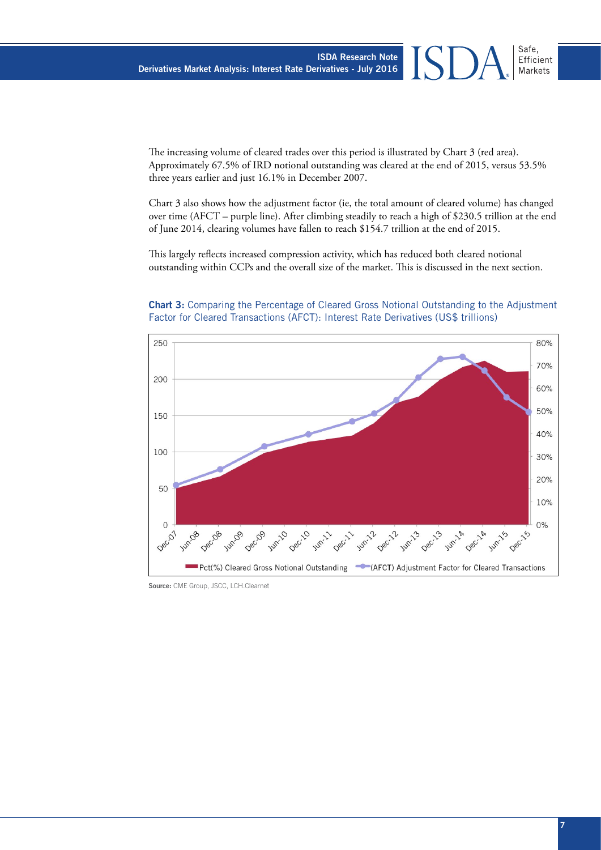The increasing volume of cleared trades over this period is illustrated by Chart 3 (red area). Approximately 67.5% of IRD notional outstanding was cleared at the end of 2015, versus 53.5% three years earlier and just 16.1% in December 2007.

Chart 3 also shows how the adjustment factor (ie, the total amount of cleared volume) has changed over time (AFCT – purple line). After climbing steadily to reach a high of \$230.5 trillion at the end of June 2014, clearing volumes have fallen to reach \$154.7 trillion at the end of 2015.

This largely reflects increased compression activity, which has reduced both cleared notional outstanding within CCPs and the overall size of the market. This is discussed in the next section.

#### **Chart 3:** Comparing the Percentage of Cleared Gross Notional Outstanding to the Adjustment Factor for Cleared Transactions (AFCT): Interest Rate Derivatives (US\$ trillions)



**Source:** CME Group, JSCC, LCH.Clearnet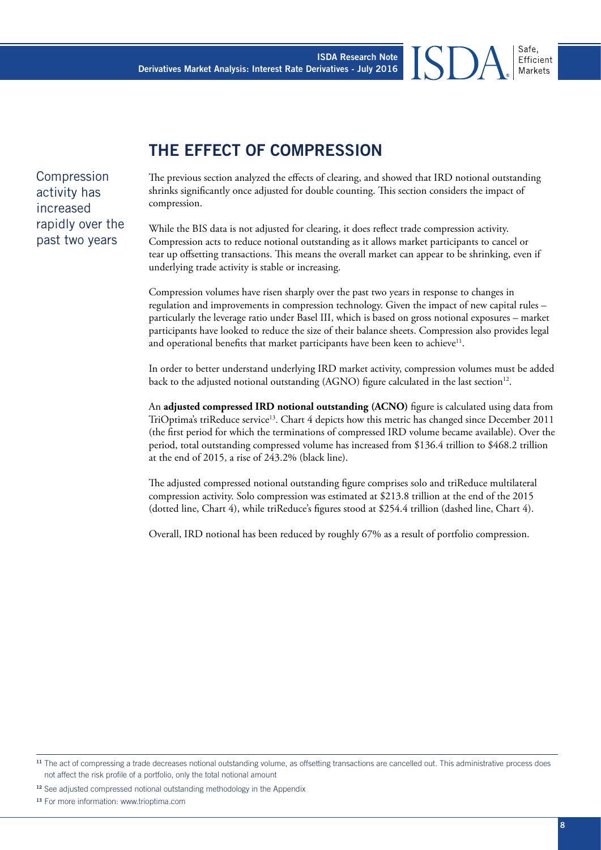Efficient Markets

# **THE EFFECT OF COMPRESSION**

Compression activity has increased rapidly over the past two years

The previous section analyzed the effects of clearing, and showed that IRD notional outstanding shrinks significantly once adjusted for double counting. This section considers the impact of compression.

While the BIS data is not adjusted for clearing, it does reflect trade compression activity. Compression acts to reduce notional outstanding as it allows market participants to cancel or tear up offsetting transactions. This means the overall market can appear to be shrinking, even if underlying trade activity is stable or increasing.

Compression volumes have risen sharply over the past two years in response to changes in regulation and improvements in compression technology. Given the impact of new capital rules – particularly the leverage ratio under Basel III, which is based on gross notional exposures – market participants have looked to reduce the size of their balance sheets. Compression also provides legal and operational benefits that market participants have been keen to achieve<sup>11</sup>.

In order to better understand underlying IRD market activity, compression volumes must be added back to the adjusted notional outstanding  $(AGNO)$  figure calculated in the last section<sup>12</sup>.

An **adjusted compressed IRD notional outstanding (ACNO)** figure is calculated using data from TriOptima's triReduce service<sup>13</sup>. Chart 4 depicts how this metric has changed since December 2011 (the first period for which the terminations of compressed IRD volume became available). Over the period, total outstanding compressed volume has increased from \$136.4 trillion to \$468.2 trillion at the end of 2015, a rise of 243.2% (black line).

The adjusted compressed notional outstanding figure comprises solo and triReduce multilateral compression activity. Solo compression was estimated at \$213.8 trillion at the end of the 2015 (dotted line, Chart 4), while triReduce's figures stood at \$254.4 trillion (dashed line, Chart 4).

Overall, IRD notional has been reduced by roughly 67% as a result of portfolio compression.

<sup>&</sup>lt;sup>11</sup> The act of compressing a trade decreases notional outstanding volume, as offsetting transactions are cancelled out. This administrative process does not affect the risk profile of a portfolio, only the total notional amount

<sup>&</sup>lt;sup>12</sup> See adjusted compressed notional outstanding methodology in the Appendix

<sup>&</sup>lt;sup>13</sup> For more information: [www.trioptima.com](http://www.trioptima.com)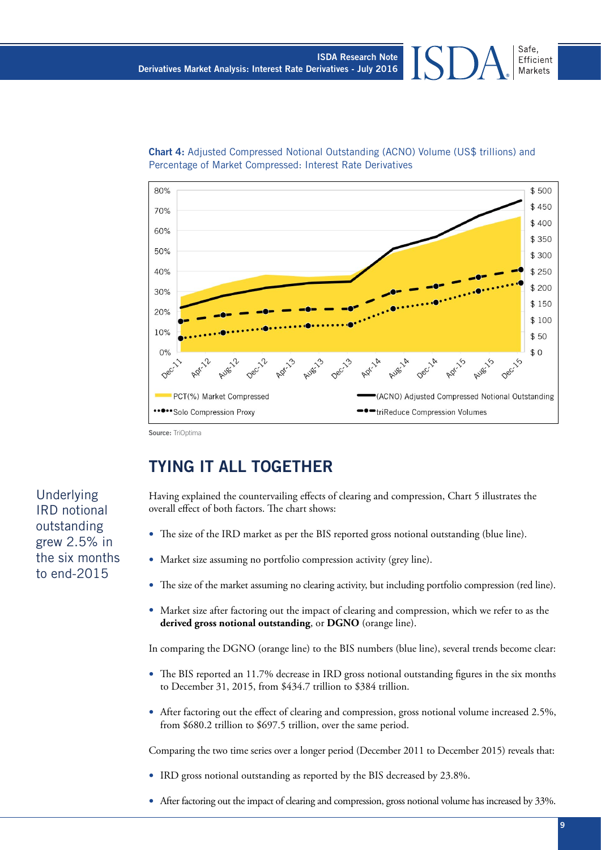



**Source:** TriOptima

# **TYING IT ALL TOGETHER**

Having explained the countervailing effects of clearing and compression, Chart 5 illustrates the overall effect of both factors. The chart shows:

- The size of the IRD market as per the BIS reported gross notional outstanding (blue line).
- Market size assuming no portfolio compression activity (grey line).
- The size of the market assuming no clearing activity, but including portfolio compression (red line).
- Market size after factoring out the impact of clearing and compression, which we refer to as the **derived gross notional outstanding**, or **DGNO** (orange line).

In comparing the DGNO (orange line) to the BIS numbers (blue line), several trends become clear:

- The BIS reported an 11.7% decrease in IRD gross notional outstanding figures in the six months to December 31, 2015, from \$434.7 trillion to \$384 trillion.
- After factoring out the effect of clearing and compression, gross notional volume increased 2.5%, from \$680.2 trillion to \$697.5 trillion, over the same period.

Comparing the two time series over a longer period (December 2011 to December 2015) reveals that:

- IRD gross notional outstanding as reported by the BIS decreased by 23.8%.
- After factoring out the impact of clearing and compression, gross notional volume has increased by 33%.

Underlying IRD notional outstanding grew 2.5% in the six months to end-2015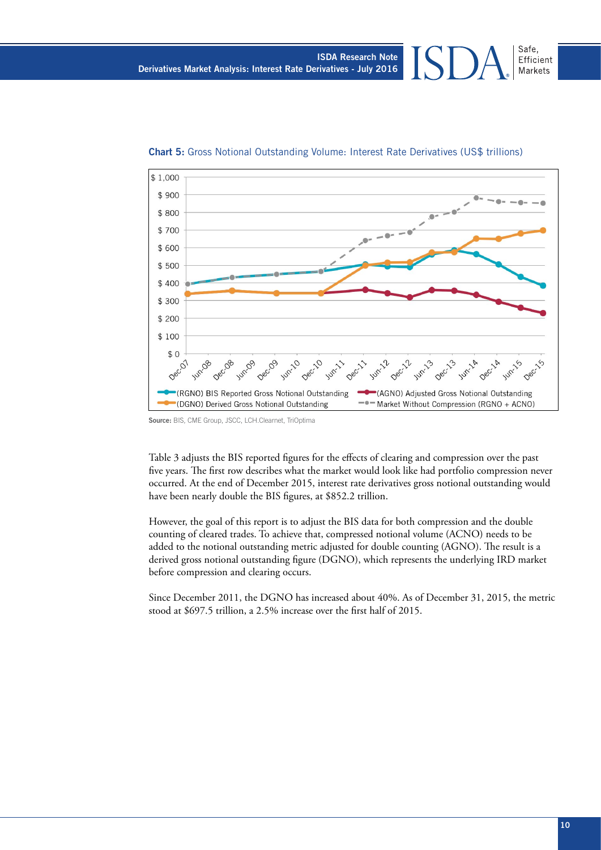

Chart 5: Gross Notional Outstanding Volume: Interest Rate Derivatives (US\$ trillions)

Table 3 adjusts the BIS reported figures for the effects of clearing and compression over the past five years. The first row describes what the market would look like had portfolio compression never occurred. At the end of December 2015, interest rate derivatives gross notional outstanding would have been nearly double the BIS figures, at \$852.2 trillion.

However, the goal of this report is to adjust the BIS data for both compression and the double counting of cleared trades. To achieve that, compressed notional volume (ACNO) needs to be added to the notional outstanding metric adjusted for double counting (AGNO). The result is a derived gross notional outstanding figure (DGNO), which represents the underlying IRD market before compression and clearing occurs.

Since December 2011, the DGNO has increased about 40%. As of December 31, 2015, the metric stood at \$697.5 trillion, a 2.5% increase over the first half of 2015.

**Source:** BIS, CME Group, JSCC, LCH.Clearnet, TriOptima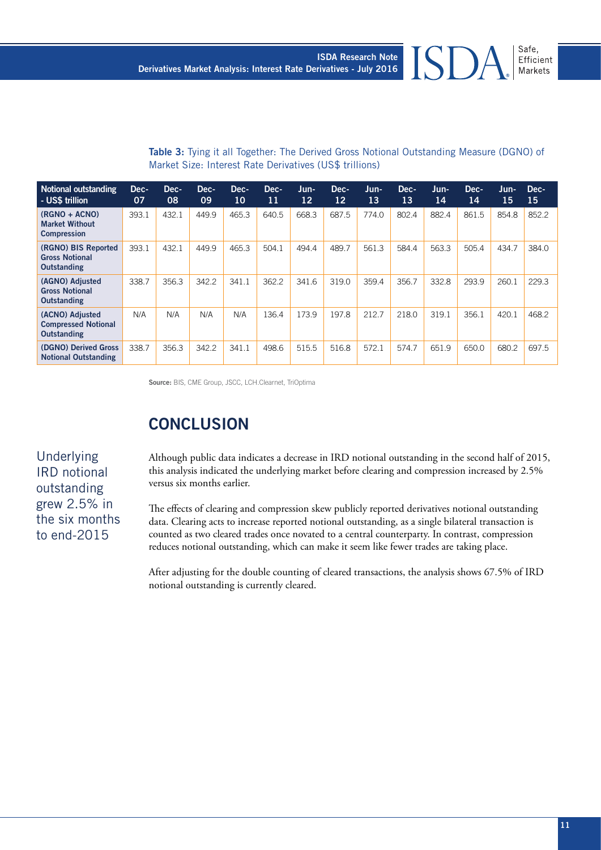| Notional outstanding<br>- US\$ trillion                             | Dec-<br>07 | Dec-<br>08 | Dec-<br>09 | Dec-<br>10 | Dec-<br>11 | Jun-<br>12 | Dec-<br>12 | Jun-<br>13 | Dec-<br>13 | Jun-<br>14 | Dec-<br>14 | Jun-<br>15 | Dec-<br>15 |
|---------------------------------------------------------------------|------------|------------|------------|------------|------------|------------|------------|------------|------------|------------|------------|------------|------------|
| (RGNO + ACNO)<br><b>Market Without</b><br><b>Compression</b>        | 393.1      | 432.1      | 449.9      | 465.3      | 640.5      | 668.3      | 687.5      | 774.0      | 802.4      | 882.4      | 861.5      | 854.8      | 852.2      |
| (RGNO) BIS Reported<br><b>Gross Notional</b><br><b>Outstanding</b>  | 393.1      | 432.1      | 449.9      | 465.3      | 504.1      | 494.4      | 489.7      | 561.3      | 584.4      | 563.3      | 505.4      | 434.7      | 384.0      |
| (AGNO) Adjusted<br><b>Gross Notional</b><br><b>Outstanding</b>      | 338.7      | 356.3      | 342.2      | 341.1      | 362.2      | 341.6      | 319.0      | 359.4      | 356.7      | 332.8      | 293.9      | 260.1      | 229.3      |
| (ACNO) Adjusted<br><b>Compressed Notional</b><br><b>Outstanding</b> | N/A        | N/A        | N/A        | N/A        | 136.4      | 173.9      | 197.8      | 212.7      | 218.0      | 319.1      | 356.1      | 420.1      | 468.2      |
| (DGNO) Derived Gross<br><b>Notional Outstanding</b>                 | 338.7      | 356.3      | 342.2      | 341.1      | 498.6      | 515.5      | 516.8      | 572.1      | 574.7      | 651.9      | 650.0      | 680.2      | 697.5      |

Table 3: Tying it all Together: The Derived Gross Notional Outstanding Measure (DGNO) of Market Size: Interest Rate Derivatives (US\$ trillions)

**Source:** BIS, CME Group, JSCC, LCH.Clearnet, TriOptima

# **CONCLUSION**

Underlying IRD notional outstanding grew 2.5% in the six months to end-2015

Although public data indicates a decrease in IRD notional outstanding in the second half of 2015, this analysis indicated the underlying market before clearing and compression increased by 2.5% versus six months earlier.

The effects of clearing and compression skew publicly reported derivatives notional outstanding data. Clearing acts to increase reported notional outstanding, as a single bilateral transaction is counted as two cleared trades once novated to a central counterparty. In contrast, compression reduces notional outstanding, which can make it seem like fewer trades are taking place.

After adjusting for the double counting of cleared transactions, the analysis shows 67.5% of IRD notional outstanding is currently cleared.

Safe, Efficient Markets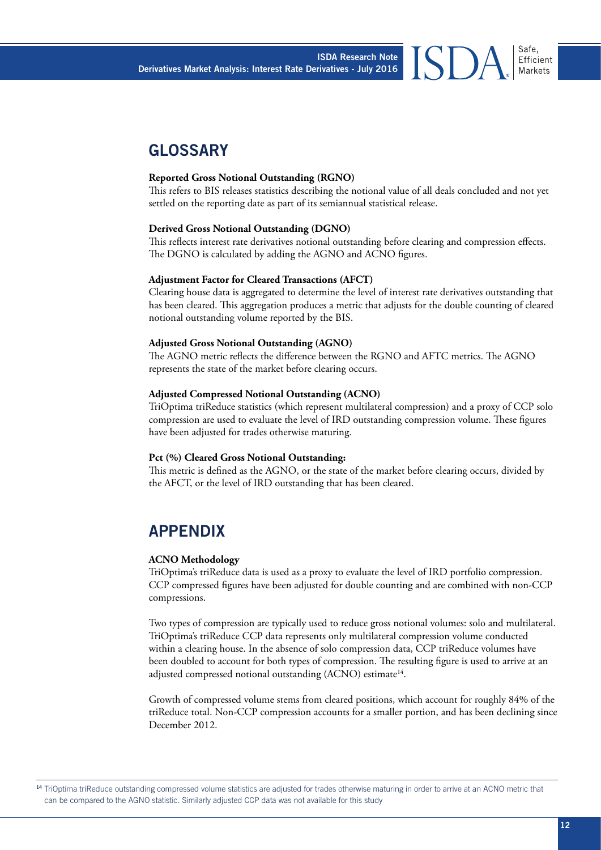Efficient Markets

# **GLOSSARY**

#### **Reported Gross Notional Outstanding (RGNO)**

This refers to BIS releases statistics describing the notional value of all deals concluded and not yet settled on the reporting date as part of its semiannual statistical release.

#### **Derived Gross Notional Outstanding (DGNO)**

This reflects interest rate derivatives notional outstanding before clearing and compression effects. The DGNO is calculated by adding the AGNO and ACNO figures.

#### **Adjustment Factor for Cleared Transactions (AFCT)**

Clearing house data is aggregated to determine the level of interest rate derivatives outstanding that has been cleared. This aggregation produces a metric that adjusts for the double counting of cleared notional outstanding volume reported by the BIS.

#### **Adjusted Gross Notional Outstanding (AGNO)**

The AGNO metric reflects the difference between the RGNO and AFTC metrics. The AGNO represents the state of the market before clearing occurs.

#### **Adjusted Compressed Notional Outstanding (ACNO)**

TriOptima triReduce statistics (which represent multilateral compression) and a proxy of CCP solo compression are used to evaluate the level of IRD outstanding compression volume. These figures have been adjusted for trades otherwise maturing.

#### **Pct (%) Cleared Gross Notional Outstanding:**

This metric is defined as the AGNO, or the state of the market before clearing occurs, divided by the AFCT, or the level of IRD outstanding that has been cleared.

# **APPENDIX**

#### **ACNO Methodology**

TriOptima's triReduce data is used as a proxy to evaluate the level of IRD portfolio compression. CCP compressed figures have been adjusted for double counting and are combined with non-CCP compressions.

Two types of compression are typically used to reduce gross notional volumes: solo and multilateral. TriOptima's triReduce CCP data represents only multilateral compression volume conducted within a clearing house. In the absence of solo compression data, CCP triReduce volumes have been doubled to account for both types of compression. The resulting figure is used to arrive at an adjusted compressed notional outstanding (ACNO) estimate<sup>14</sup>.

Growth of compressed volume stems from cleared positions, which account for roughly 84% of the triReduce total. Non-CCP compression accounts for a smaller portion, and has been declining since December 2012.

<sup>14</sup>TriOptima triReduce outstanding compressed volume statistics are adjusted for trades otherwise maturing in order to arrive at an ACNO metric that can be compared to the AGNO statistic. Similarly adjusted CCP data was not available for this study